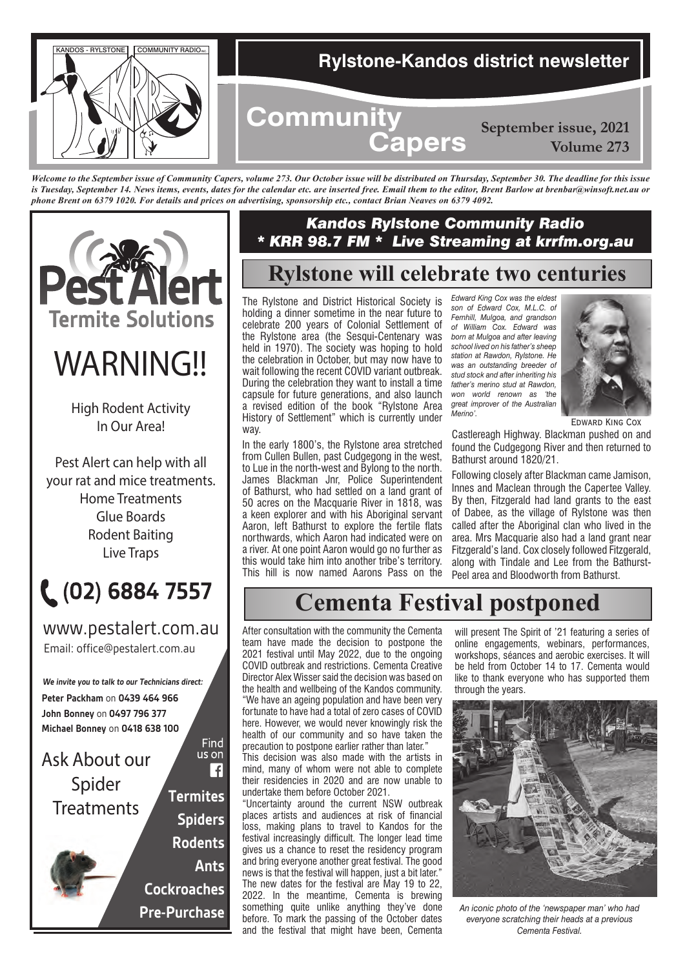

*Welcome to the September issue of Community Capers, volume 273. Our October issue will be distributed on Thursday, September 30. The deadline for this issue*  is Tuesday, September 14. News items, events, dates for the calendar etc. are inserted free. Email them to the editor, Brent Barlow at brenbar@winsoft.net.au or *phone Brent on 6379 1020. For details and prices on advertising, sponsorship etc., contact Brian Neaves on 6379 4092.*



# *WARNING!!*

High Rodent Activity In Our Area!

Pest Alert can help with all your rat and mice treatments. Home Treatments Glue Boards Rodent Baiting Live Traps



Email: office@pestalert.com.au www.pestalert.com.au

**Peter Packham** on **0439 464 966 John Bonney** on **0497 796 377 Michael Bonney** on **0418 638 100 We invite you to talk to our Technicians direct:**



## *Kandos Rylstone Community Radio \* KRR 98.7 FM \* Live Streaming at krrfm.org.au*

# **Rylstone will celebrate two centuries**

The Rylstone and District Historical Society is holding a dinner sometime in the near future to celebrate 200 years of Colonial Settlement of the Rylstone area (the Sesqui-Centenary was held in 1970). The society was hoping to hold the celebration in October, but may now have to wait following the recent COVID variant outbreak. During the celebration they want to install a time capsule for future generations, and also launch a revised edition of the book "Rylstone Area History of Settlement" which is currently under way.

In the early 1800's, the Rylstone area stretched from Cullen Bullen, past Cudgegong in the west, to Lue in the north-west and Bylong to the north. James Blackman Jnr, Police Superintendent of Bathurst, who had settled on a land grant of 50 acres on the Macquarie River in 1818, was a keen explorer and with his Aboriginal servant Aaron, left Bathurst to explore the fertile flats northwards, which Aaron had indicated were on a river. At one point Aaron would go no further as this would take him into another tribe's territory. This hill is now named Aarons Pass on the

*Edward King Cox was the eldest son of Edward Cox, M.L.C. of Fernhill, Mulgoa, and grandson of William Cox. Edward was born at Mulgoa and after leaving school lived on his father's sheep station at Rawdon, Rylstone. He was an outstanding breeder of stud stock and after inheriting his father's merino stud at Rawdon, won world renown as 'the great improver of the Australian Merino'.*



Edward King Cox

Castlereagh Highway. Blackman pushed on and found the Cudgegong River and then returned to Bathurst around 1820/21.

Following closely after Blackman came Jamison, Innes and Maclean through the Capertee Valley. By then, Fitzgerald had land grants to the east of Dabee, as the village of Rylstone was then called after the Aboriginal clan who lived in the area. Mrs Macquarie also had a land grant near Fitzgerald's land. Cox closely followed Fitzgerald, along with Tindale and Lee from the Bathurst-Peel area and Bloodworth from Bathurst.

# **Cementa Festival postponed**

After consultation with the community the Cementa team have made the decision to postpone the 2021 festival until May 2022, due to the ongoing COVID outbreak and restrictions. Cementa Creative Director Alex Wisser said the decision was based on the health and wellbeing of the Kandos community. "We have an ageing population and have been very fortunate to have had a total of zero cases of COVID here. However, we would never knowingly risk the health of our community and so have taken the precaution to postpone earlier rather than later."

This decision was also made with the artists in mind, many of whom were not able to complete their residencies in 2020 and are now unable to undertake them before October 2021.

"Uncertainty around the current NSW outbreak places artists and audiences at risk of financial loss, making plans to travel to Kandos for the festival increasingly difficult. The longer lead time gives us a chance to reset the residency program and bring everyone another great festival. The good news is that the festival will happen, just a bit later." The new dates for the festival are May 19 to 22, 2022. In the meantime, Cementa is brewing something quite unlike anything they've done before. To mark the passing of the October dates and the festival that might have been, Cementa

will present The Spirit of '21 featuring a series of online engagements, webinars, performances, workshops, séances and aerobic exercises. It will be held from October 14 to 17. Cementa would like to thank everyone who has supported them through the years.



*An iconic photo of the 'newspaper man' who had everyone scratching their heads at a previous Cementa Festival.*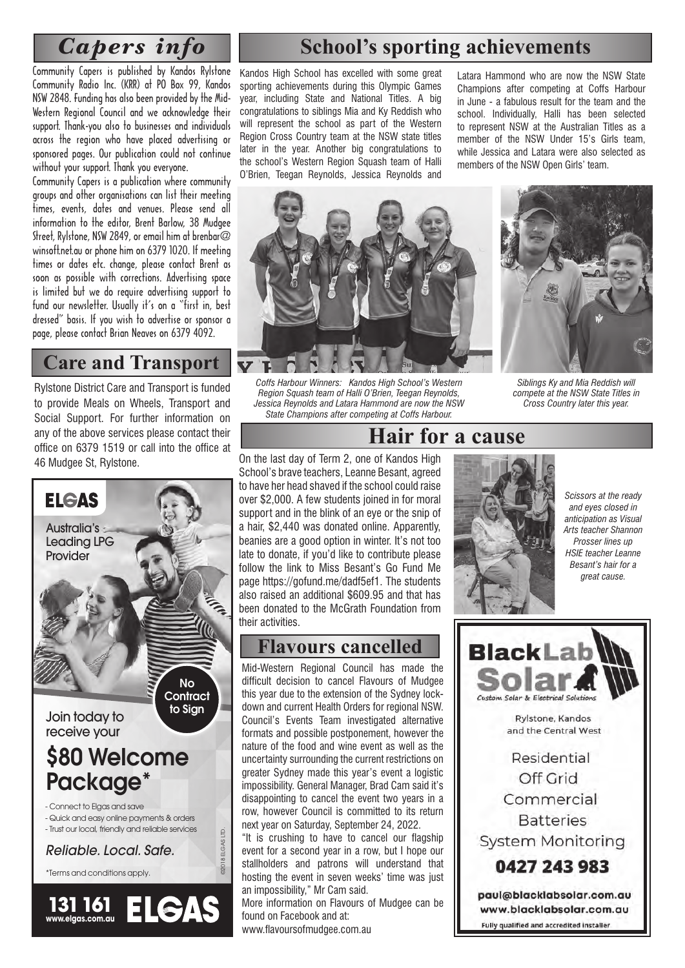# *Capers info*

Community Capers is published by Kandos Rylstone Community Radio Inc. (KRR) at PO Box 99, Kandos NSW 2848. Funding has also been provided by the Mid-Western Regional Council and we acknowledge their support. Thank-you also to businesses and individuals across the region who have placed advertising or sponsored pages. Our publication could not continue without your support. Thank you everyone.

Community Capers is a publication where community groups and other organisations can list their meeting times, events, dates and venues. Please send all information to the editor, Brent Barlow, 38 Mudgee Street, Rylstone, NSW 2849, or email him at brenbar@ winsoft.net.au or phone him on 6379 1020. If meeting times or dates etc. change, please contact Brent as soon as possible with corrections. Advertising space is limited but we do require advertising support to fund our newsletter. Usually it's on a "first in, best dressed" basis. If you wish to advertise or sponsor a page, please contact Brian Neaves on 6379 4092.

## **Care and Transport**

Rylstone District Care and Transport is funded to provide Meals on Wheels, Transport and Social Support. For further information on any of the above services please contact their office on 6379 1519 or call into the office at 46 Mudgee St, Rylstone.



# **School's sporting achievements**

Kandos High School has excelled with some great sporting achievements during this Olympic Games year, including State and National Titles. A big congratulations to siblings Mia and Ky Reddish who will represent the school as part of the Western Region Cross Country team at the NSW state titles later in the year. Another big congratulations to the school's Western Region Squash team of Halli O'Brien, Teegan Reynolds, Jessica Reynolds and

Latara Hammond who are now the NSW State Champions after competing at Coffs Harbour in June - a fabulous result for the team and the school. Individually, Halli has been selected to represent NSW at the Australian Titles as a member of the NSW Under 15's Girls team, while Jessica and Latara were also selected as members of the NSW Open Girls' team.



*Coffs Harbour Winners: Kandos High School's Western Region Squash team of Halli O'Brien, Teegan Reynolds, Jessica Reynolds and Latara Hammond are now the NSW State Champions after competing at Coffs Harbour.*



*Siblings Ky and Mia Reddish will compete at the NSW State Titles in Cross Country later this year.*

On the last day of Term 2, one of Kandos High School's brave teachers, Leanne Besant, agreed to have her head shaved if the school could raise over \$2,000. A few students joined in for moral support and in the blink of an eye or the snip of a hair, \$2,440 was donated online. Apparently, beanies are a good option in winter. It's not too late to donate, if you'd like to contribute please follow the link to Miss Besant's Go Fund Me page https://gofund.me/dadf5ef1. The students also raised an additional \$609.95 and that has been donated to the McGrath Foundation from their activities.

## **Flavours cancelled**

Mid-Western Regional Council has made the difficult decision to cancel Flavours of Mudgee this year due to the extension of the Sydney lockdown and current Health Orders for regional NSW. Council's Events Team investigated alternative formats and possible postponement, however the nature of the food and wine event as well as the uncertainty surrounding the current restrictions on greater Sydney made this year's event a logistic impossibility. General Manager, Brad Cam said it's disappointing to cancel the event two years in a row, however Council is committed to its return next year on Saturday, September 24, 2022.

"It is crushing to have to cancel our flagship event for a second year in a row, but I hope our stallholders and patrons will understand that hosting the event in seven weeks' time was just an impossibility," Mr Cam said.

More information on Flavours of Mudgee can be found on Facebook and at:

www.flavoursofmudgee.com.au



**Hair for a cause**

*Scissors at the ready and eyes closed in anticipation as Visual Arts teacher Shannon Prosser lines up HSIE teacher Leanne Besant's hair for a great cause.*



Rylstone, Kandos and the Central West

Residential Off Grid Commercial **Batteries System Monitoring** 

0427 243 983

paul@blacklabsolar.com.au www.blacklabsolar.com.au Fully qualified and accredited installer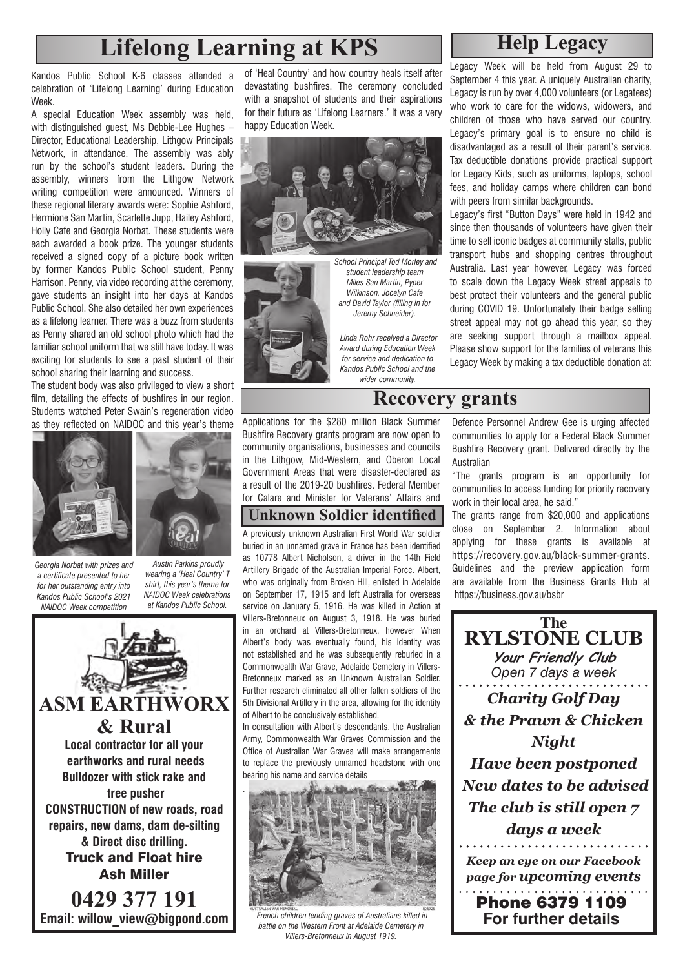# **Lifelong Learning at KPS Help Legacy**

Kandos Public School K-6 classes attended a celebration of 'Lifelong Learning' during Education **Week** 

A special Education Week assembly was held, with distinguished guest, Ms Debbie-Lee Hughes – Director, Educational Leadership, Lithgow Principals Network, in attendance. The assembly was ably run by the school's student leaders. During the assembly, winners from the Lithgow Network writing competition were announced. Winners of these regional literary awards were: Sophie Ashford, Hermione San Martin, Scarlette Jupp, Hailey Ashford, Holly Cafe and Georgia Norbat. These students were each awarded a book prize. The younger students received a signed copy of a picture book written by former Kandos Public School student, Penny Harrison. Penny, via video recording at the ceremony, gave students an insight into her days at Kandos Public School. She also detailed her own experiences as a lifelong learner. There was a buzz from students as Penny shared an old school photo which had the familiar school uniform that we still have today. It was exciting for students to see a past student of their school sharing their learning and success.

The student body was also privileged to view a short film, detailing the effects of bushfires in our region. Students watched Peter Swain's regeneration video as they reflected on NAIDOC and this year's theme





*Georgia Norbat with prizes and a certificate presented to her for her outstanding entry into Kandos Public School's 2021 NAIDOC Week competition*

 *Austin Parkins proudly wearing a 'Heal Country' T shirt, this year's theme for NAIDOC Week celebrations at Kandos Public School.*



of 'Heal Country' and how country heals itself after devastating bushfires. The ceremony concluded with a snapshot of students and their aspirations for their future as 'Lifelong Learners.' It was a very happy Education Week.





*School Principal Tod Morley and student leadership team Miles San Martin, Pyper Wilkinson, Jocelyn Cafe and David Taylor (filling in for Jeremy Schneider).*

 *Linda Rohr received a Director Award during Education Week for service and dedication to Kandos Public School and the wider community.*

Legacy Week will be held from August 29 to September 4 this year. A uniquely Australian charity, Legacy is run by over 4,000 volunteers (or Legatees) who work to care for the widows, widowers, and children of those who have served our country. Legacy's primary goal is to ensure no child is disadvantaged as a result of their parent's service. Tax deductible donations provide practical support for Legacy Kids, such as uniforms, laptops, school fees, and holiday camps where children can bond with peers from similar backgrounds.

Legacy's first "Button Days" were held in 1942 and since then thousands of volunteers have given their time to sell iconic badges at community stalls, public transport hubs and shopping centres throughout Australia. Last year however, Legacy was forced to scale down the Legacy Week street appeals to best protect their volunteers and the general public during COVID 19. Unfortunately their badge selling street appeal may not go ahead this year, so they are seeking support through a mailbox appeal. Please show support for the families of veterans this Legacy Week by making a tax deductible donation at:

**Recovery grants**

Applications for the \$280 million Black Summer Bushfire Recovery grants program are now open to community organisations, businesses and councils in the Lithgow, Mid-Western, and Oberon Local Government Areas that were disaster-declared as a result of the 2019-20 bushfires. Federal Member for Calare and Minister for Veterans' Affairs and

### **Unknown Soldier identified**

A previously unknown Australian First World War soldier buried in an unnamed grave in France has been identified as 10778 Albert Nicholson, a driver in the 14th Field Artillery Brigade of the Australian Imperial Force. Albert, who was originally from Broken Hill, enlisted in Adelaide on September 17, 1915 and left Australia for overseas service on January 5, 1916. He was killed in Action at Villers-Bretonneux on August 3, 1918. He was buried in an orchard at Villers-Bretonneux, however When Albert's body was eventually found, his identity was not established and he was subsequently reburied in a Commonwealth War Grave, Adelaide Cemetery in Villers-Bretonneux marked as an Unknown Australian Soldier. Further research eliminated all other fallen soldiers of the 5th Divisional Artillery in the area, allowing for the identity of Albert to be conclusively established.

In consultation with Albert's descendants, the Australian Army, Commonwealth War Graves Commission and the Office of Australian War Graves will make arrangements to replace the previously unnamed headstone with one bearing his name and service details



 *French children tending graves of Australians killed in battle on the Western Front at Adelaide Cemetery in Villers-Bretonneux in August 1919.*

Defence Personnel Andrew Gee is urging affected communities to apply for a Federal Black Summer Bushfire Recovery grant. Delivered directly by the Australian

"The grants program is an opportunity for communities to access funding for priority recovery work in their local area, he said."

The grants range from \$20,000 and applications close on September 2. Information about applying for these grants is available at https://recovery.gov.au/black-summer-grants. Guidelines and the preview application form are available from the Business Grants Hub at https://business.gov.au/bsbr